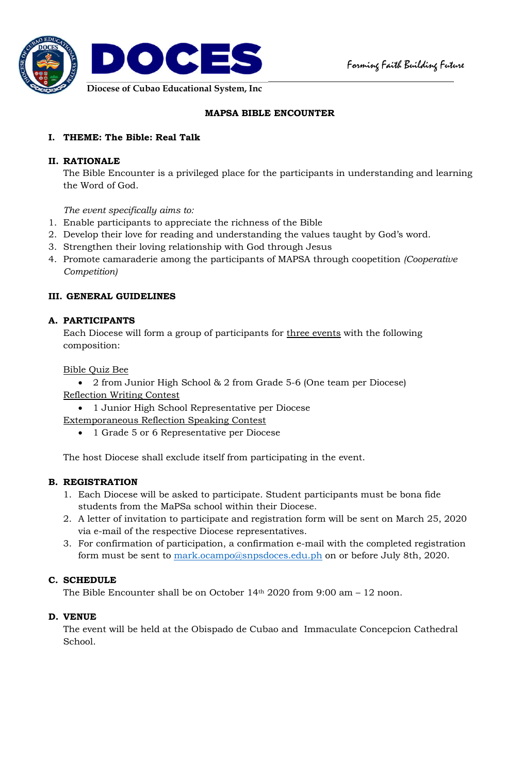

# **MAPSA BIBLE ENCOUNTER**

# **I. THEME: The Bible: Real Talk**

## **II. RATIONALE**

The Bible Encounter is a privileged place for the participants in understanding and learning the Word of God.

*The event specifically aims to:*

- 1. Enable participants to appreciate the richness of the Bible
- 2. Develop their love for reading and understanding the values taught by God's word.
- 3. Strengthen their loving relationship with God through Jesus
- 4. Promote camaraderie among the participants of MAPSA through coopetition *(Cooperative Competition)*

# **III. GENERAL GUIDELINES**

## **A. PARTICIPANTS**

Each Diocese will form a group of participants for three events with the following composition:

Bible Quiz Bee

 2 from Junior High School & 2 from Grade 5-6 (One team per Diocese) Reflection Writing Contest

- 1 Junior High School Representative per Diocese Extemporaneous Reflection Speaking Contest
	- 1 Grade 5 or 6 Representative per Diocese

The host Diocese shall exclude itself from participating in the event.

## **B. REGISTRATION**

- 1. Each Diocese will be asked to participate. Student participants must be bona fide students from the MaPSa school within their Diocese.
- 2. A letter of invitation to participate and registration form will be sent on March 25, 2020 via e-mail of the respective Diocese representatives.
- 3. For confirmation of participation, a confirmation e-mail with the completed registration form must be sent to mark.ocampo@snpsdoces.edu.ph on or before July 8th, 2020.

## **C. SCHEDULE**

The Bible Encounter shall be on October  $14<sup>th</sup> 2020$  from 9:00 am  $-12$  noon.

## **D. VENUE**

The event will be held at the Obispado de Cubao and Immaculate Concepcion Cathedral School.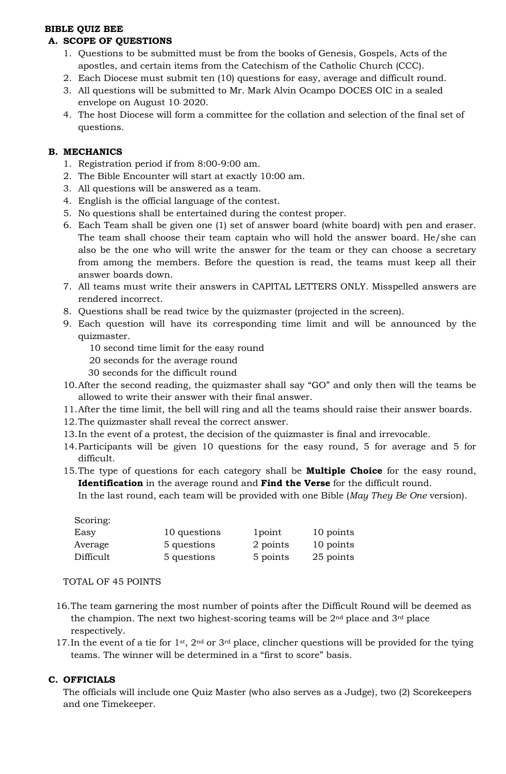## **BIBLE QUIZ BEE**

## **A. SCOPE OF QUESTIONS**

- 1. Questions to be submitted must be from the books of Genesis, Gospels, Acts of the apostles, and certain items from the Catechism of the Catholic Church (CCC).
- 2. Each Diocese must submit ten (10) questions for easy, average and difficult round.
- 3. All questions will be submitted to Mr. Mark Alvin Ocampo DOCES OIC in a sealed envelope on August 10, 2020.
- 4. The host Diocese will form a committee for the collation and selection of the final set of questions.

### **B. MECHANICS**

- 1. Registration period if from 8:00-9:00 am.
- 2. The Bible Encounter will start at exactly 10:00 am.
- 3. All questions will be answered as a team.
- 4. English is the official language of the contest.
- 5. No questions shall be entertained during the contest proper.
- 6. Each Team shall be given one (1) set of answer board (white board) with pen and eraser. The team shall choose their team captain who will hold the answer board. He/she can also be the one who will write the answer for the team or they can choose a secretary from among the members. Before the question is read, the teams must keep all their answer boards down.
- 7. All teams must write their answers in CAPITAL LETTERS ONLY. Misspelled answers are rendered incorrect.
- 8. Questions shall be read twice by the quizmaster (projected in the screen).
- 9. Each question will have its corresponding time limit and will be announced by the quizmaster.
	- 10 second time limit for the easy round
	- 20 seconds for the average round
	- 30 seconds for the difficult round
- 10.After the second reading, the quizmaster shall say "GO" and only then will the teams be allowed to write their answer with their final answer.
- 11.After the time limit, the bell will ring and all the teams should raise their answer boards.
- 12.The quizmaster shall reveal the correct answer.
- 13.In the event of a protest, the decision of the quizmaster is final and irrevocable.
- 14.Participants will be given 10 questions for the easy round, 5 for average and 5 for difficult.
- 15.The type of questions for each category shall be **Multiple Choice** for the easy round, **Identification** in the average round and **Find the Verse** for the difficult round.

In the last round, each team will be provided with one Bible (*May They Be One* version).

| Scoring:  |              |          |           |
|-----------|--------------|----------|-----------|
| Easy      | 10 questions | 1 point  | 10 points |
| Average   | 5 questions  | 2 points | 10 points |
| Difficult | 5 questions  | 5 points | 25 points |

#### TOTAL OF 45 POINTS

- 16.The team garnering the most number of points after the Difficult Round will be deemed as the champion. The next two highest-scoring teams will be  $2<sup>nd</sup>$  place and  $3<sup>rd</sup>$  place respectively.
- 17.In the event of a tie for 1st, 2nd or 3rd place, clincher questions will be provided for the tying teams. The winner will be determined in a "first to score" basis.

## **C. OFFICIALS**

The officials will include one Quiz Master (who also serves as a Judge), two (2) Scorekeepers and one Timekeeper.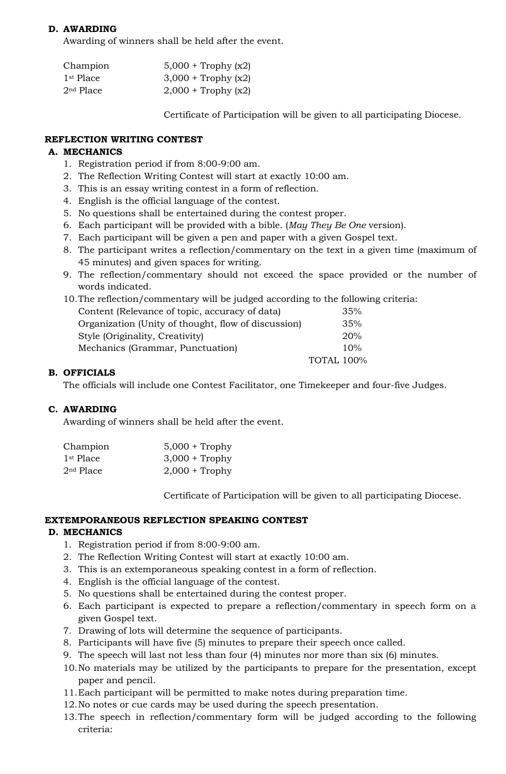## **D. AWARDING**

Awarding of winners shall be held after the event.

| Champion    | $5,000 +$ Trophy (x2)        |
|-------------|------------------------------|
| $1st$ Place | $3,000 + \text{Trophy (x2)}$ |
| $2nd$ Place | $2,000 + \text{Trophy (x2)}$ |

Certificate of Participation will be given to all participating Diocese.

## **REFLECTION WRITING CONTEST**

### **A. MECHANICS**

- 1. Registration period if from 8:00-9:00 am.
- 2. The Reflection Writing Contest will start at exactly 10:00 am.
- 3. This is an essay writing contest in a form of reflection.
- 4. English is the official language of the contest.
- 5. No questions shall be entertained during the contest proper.
- 6. Each participant will be provided with a bible. (*May They Be One* version).
- 7. Each participant will be given a pen and paper with a given Gospel text.
- 8. The participant writes a reflection/commentary on the text in a given time (maximum of 45 minutes) and given spaces for writing.
- 9. The reflection/commentary should not exceed the space provided or the number of words indicated.

| 10. The reflection/commentary will be judged according to the following criteria: |     |
|-----------------------------------------------------------------------------------|-----|
| Content (Relevance of topic, accuracy of data)                                    | 35% |
| Organization (Unity of thought, flow of discussion)                               | 35% |

| Organization (Unity of thought, flow of discussion) | 35%               |
|-----------------------------------------------------|-------------------|
| Style (Originality, Creativity)                     | <b>20%</b>        |
| Mechanics (Grammar, Punctuation)                    | 10%               |
|                                                     | <b>TOTAL 100%</b> |

## **B. OFFICIALS**

The officials will include one Contest Facilitator, one Timekeeper and four-five Judges.

#### **C. AWARDING**

Awarding of winners shall be held after the event.

| Champion              | $5,000 + \text{Trophy}$ |
|-----------------------|-------------------------|
| 1 <sup>st</sup> Place | $3,000 + \text{Trophy}$ |
| $2nd$ Place           | $2,000 + \text{Trophy}$ |

Certificate of Participation will be given to all participating Diocese.

#### **EXTEMPORANEOUS REFLECTION SPEAKING CONTEST**

## **D. MECHANICS**

- 1. Registration period if from 8:00-9:00 am.
- 2. The Reflection Writing Contest will start at exactly 10:00 am.
- 3. This is an extemporaneous speaking contest in a form of reflection.
- 4. English is the official language of the contest.
- 5. No questions shall be entertained during the contest proper.
- 6. Each participant is expected to prepare a reflection/commentary in speech form on a given Gospel text.
- 7. Drawing of lots will determine the sequence of participants.
- 8. Participants will have five (5) minutes to prepare their speech once called.
- 9. The speech will last not less than four (4) minutes nor more than six (6) minutes.
- 10.No materials may be utilized by the participants to prepare for the presentation, except paper and pencil.
- 11.Each participant will be permitted to make notes during preparation time.
- 12.No notes or cue cards may be used during the speech presentation.
- 13.The speech in reflection/commentary form will be judged according to the following criteria: